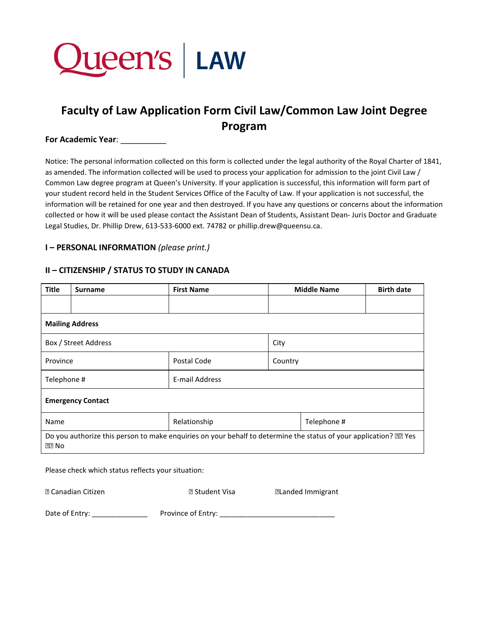

# **Faculty of Law Application Form Civil Law/Common Law Joint Degree Program**

## **For Academic Year**: \_\_\_\_\_\_\_\_\_\_

Notice: The personal information collected on this form is collected under the legal authority of the Royal Charter of 1841, as amended. The information collected will be used to process your application for admission to the joint Civil Law / Common Law degree program at Queen's University. If your application is successful, this information will form part of your student record held in the Student Services Office of the Faculty of Law. If your application is not successful, the information will be retained for one year and then destroyed. If you have any questions or concerns about the information collected or how it will be used please contact the Assistant Dean of Students, Assistant Dean- Juris Doctor and Graduate Legal Studies, Dr. Phillip Drew, 613-533-6000 ext. 74782 or phillip.drew@queensu.ca.

#### **I – PERSONAL INFORMATION** *(please print.)*

#### **II – CITIZENSHIP / STATUS TO STUDY IN CANADA**

| <b>Title</b>                                                                                                                       | <b>Surname</b> | <b>First Name</b> | <b>Middle Name</b> | <b>Birth date</b> |  |  |  |
|------------------------------------------------------------------------------------------------------------------------------------|----------------|-------------------|--------------------|-------------------|--|--|--|
|                                                                                                                                    |                |                   |                    |                   |  |  |  |
| <b>Mailing Address</b>                                                                                                             |                |                   |                    |                   |  |  |  |
| Box / Street Address                                                                                                               |                |                   | City               |                   |  |  |  |
| Province                                                                                                                           |                | Postal Code       | Country            |                   |  |  |  |
| Telephone #                                                                                                                        |                | E-mail Address    |                    |                   |  |  |  |
| <b>Emergency Contact</b>                                                                                                           |                |                   |                    |                   |  |  |  |
| Name                                                                                                                               |                | Relationship      | Telephone #        |                   |  |  |  |
| Do you authorize this person to make enquiries on your behalf to determine the status of your application? [2] Yes<br><b>PP</b> No |                |                   |                    |                   |  |  |  |

Please check which status reflects your situation:

| <b>2 Canadian Citizen</b> | <b>7 Student Visa</b> | <b>Elanded Immigrant</b> |
|---------------------------|-----------------------|--------------------------|
|                           |                       |                          |

Date of Entry: \_\_\_\_\_\_\_\_\_\_\_\_\_\_ Province of Entry: \_\_\_\_\_\_\_\_\_\_\_\_\_\_\_\_\_\_\_\_\_\_\_\_\_\_\_\_\_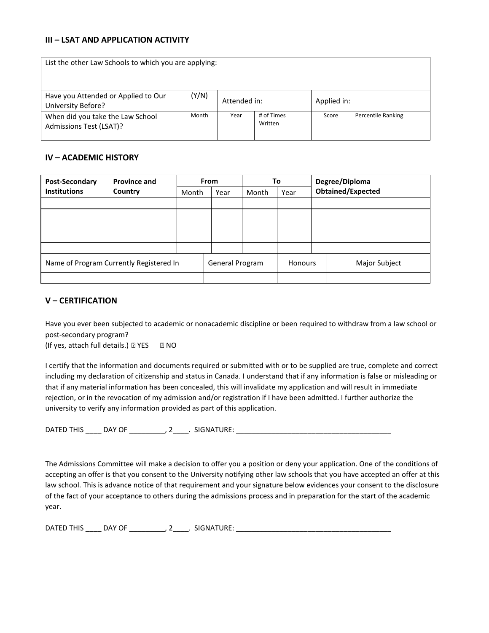## **III – LSAT AND APPLICATION ACTIVITY**

| List the other Law Schools to which you are applying:       |       |              |                       |             |                    |  |
|-------------------------------------------------------------|-------|--------------|-----------------------|-------------|--------------------|--|
| Have you Attended or Applied to Our<br>University Before?   | (Y/N) | Attended in: |                       | Applied in: |                    |  |
| When did you take the Law School<br>Admissions Test (LSAT)? | Month | Year         | # of Times<br>Written | Score       | Percentile Ranking |  |

## **IV – ACADEMIC HISTORY**

| Post-Secondary                          | <b>Province and</b> | <b>From</b> |                 | To    |                | Degree/Diploma |                          |
|-----------------------------------------|---------------------|-------------|-----------------|-------|----------------|----------------|--------------------------|
| <b>Institutions</b>                     | Country             | Month       | Year            | Month | Year           |                | <b>Obtained/Expected</b> |
|                                         |                     |             |                 |       |                |                |                          |
|                                         |                     |             |                 |       |                |                |                          |
|                                         |                     |             |                 |       |                |                |                          |
|                                         |                     |             |                 |       |                |                |                          |
|                                         |                     |             |                 |       |                |                |                          |
| Name of Program Currently Registered In |                     |             | General Program |       | <b>Honours</b> |                | Major Subject            |
|                                         |                     |             |                 |       |                |                |                          |

## **V – CERTIFICATION**

Have you ever been subjected to academic or nonacademic discipline or been required to withdraw from a law school or post-secondary program?

(If yes, attach full details.)  $\mathbb{Z}$  YES  $\qquad \mathbb{Z}$  NO

I certify that the information and documents required or submitted with or to be supplied are true, complete and correct including my declaration of citizenship and status in Canada. I understand that if any information is false or misleading or that if any material information has been concealed, this will invalidate my application and will result in immediate rejection, or in the revocation of my admission and/or registration if I have been admitted. I further authorize the university to verify any information provided as part of this application.

DATED THIS \_\_\_\_\_ DAY OF \_\_\_\_\_\_\_\_\_\_, 2\_\_\_\_\_. SIGNATURE: \_\_\_\_\_\_\_\_\_\_\_\_\_\_\_\_\_\_\_\_\_\_\_\_\_\_

The Admissions Committee will make a decision to offer you a position or deny your application. One of the conditions of accepting an offer is that you consent to the University notifying other law schools that you have accepted an offer at this law school. This is advance notice of that requirement and your signature below evidences your consent to the disclosure of the fact of your acceptance to others during the admissions process and in preparation for the start of the academic year.

DATED THIS \_\_\_\_ DAY OF \_\_\_\_\_\_\_\_\_\_, 2\_\_\_\_. SIGNATURE: